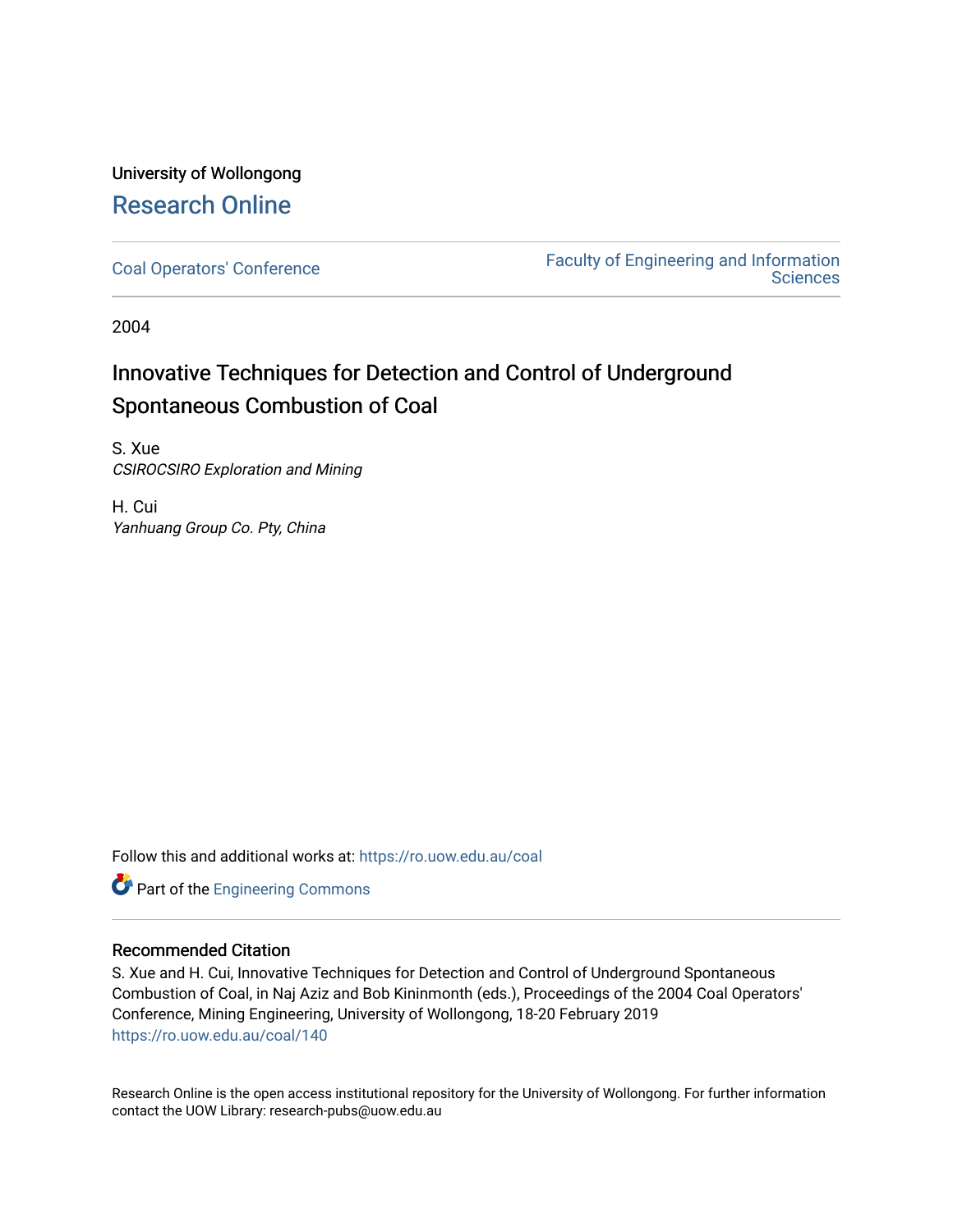### University of Wollongong [Research Online](https://ro.uow.edu.au/)

[Coal Operators' Conference](https://ro.uow.edu.au/coal) [Faculty of Engineering and Information](https://ro.uow.edu.au/eis)  **Sciences** 

2004

# Innovative Techniques for Detection and Control of Underground Spontaneous Combustion of Coal

S. Xue CSIROCSIRO Exploration and Mining

H. Cui Yanhuang Group Co. Pty, China

Follow this and additional works at: [https://ro.uow.edu.au/coal](https://ro.uow.edu.au/coal?utm_source=ro.uow.edu.au%2Fcoal%2F140&utm_medium=PDF&utm_campaign=PDFCoverPages) 



### Recommended Citation

S. Xue and H. Cui, Innovative Techniques for Detection and Control of Underground Spontaneous Combustion of Coal, in Naj Aziz and Bob Kininmonth (eds.), Proceedings of the 2004 Coal Operators' Conference, Mining Engineering, University of Wollongong, 18-20 February 2019 [https://ro.uow.edu.au/coal/140](https://ro.uow.edu.au/coal/140?utm_source=ro.uow.edu.au%2Fcoal%2F140&utm_medium=PDF&utm_campaign=PDFCoverPages) 

Research Online is the open access institutional repository for the University of Wollongong. For further information contact the UOW Library: research-pubs@uow.edu.au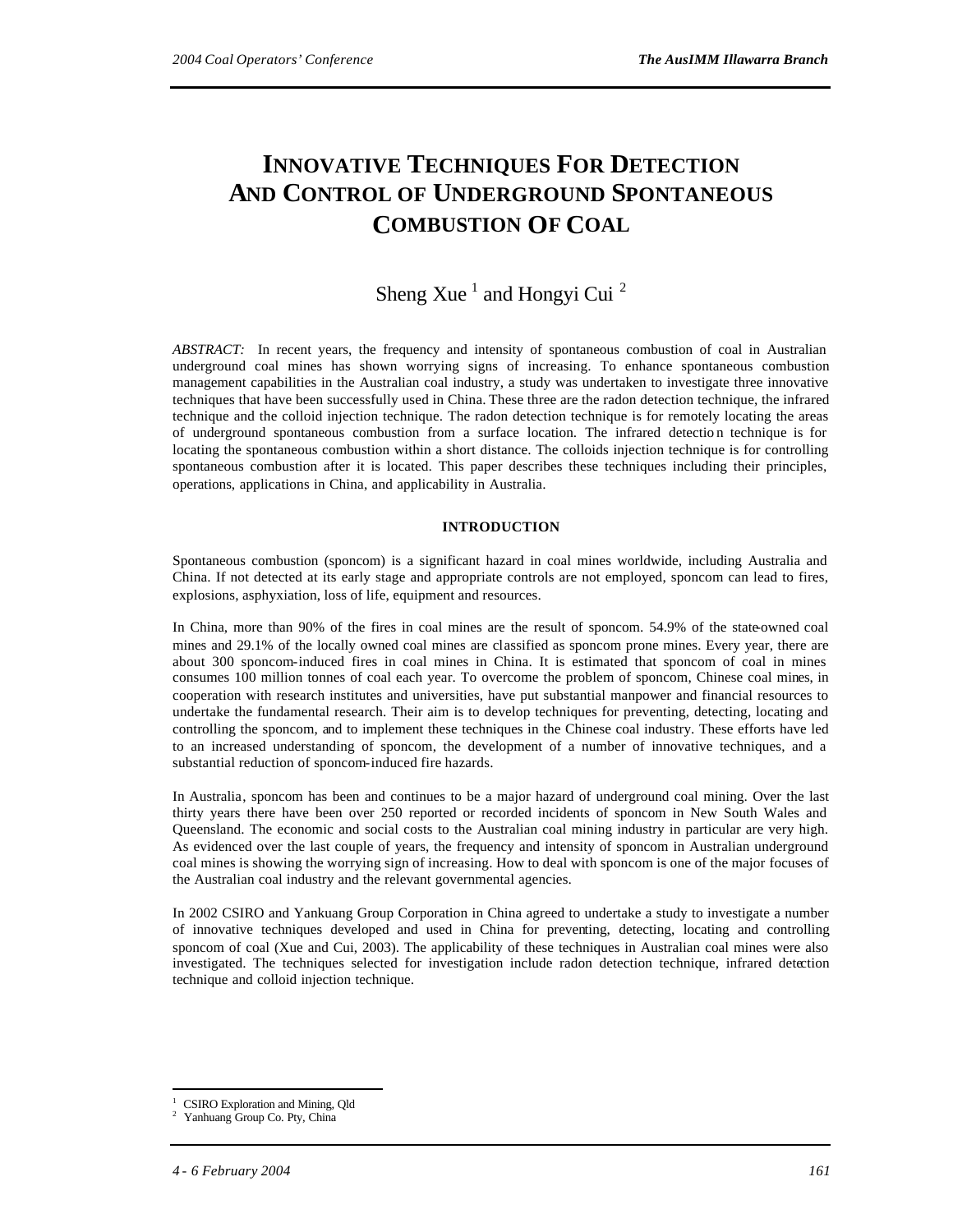## **INNOVATIVE TECHNIQUES FOR DETECTION AND CONTROL OF UNDERGROUND SPONTANEOUS COMBUSTION OF COAL**

### Sheng Xue<sup>1</sup> and Hongyi Cui<sup>2</sup>

*ABSTRACT:* In recent years, the frequency and intensity of spontaneous combustion of coal in Australian underground coal mines has shown worrying signs of increasing. To enhance spontaneous combustion management capabilities in the Australian coal industry, a study was undertaken to investigate three innovative techniques that have been successfully used in China. These three are the radon detection technique, the infrared technique and the colloid injection technique. The radon detection technique is for remotely locating the areas of underground spontaneous combustion from a surface location. The infrared detectio n technique is for locating the spontaneous combustion within a short distance. The colloids injection technique is for controlling spontaneous combustion after it is located. This paper describes these techniques including their principles, operations, applications in China, and applicability in Australia.

#### **INTRODUCTION**

Spontaneous combustion (sponcom) is a significant hazard in coal mines worldwide, including Australia and China. If not detected at its early stage and appropriate controls are not employed, sponcom can lead to fires, explosions, asphyxiation, loss of life, equipment and resources.

In China, more than 90% of the fires in coal mines are the result of sponcom. 54.9% of the state-owned coal mines and 29.1% of the locally owned coal mines are classified as sponcom prone mines. Every year, there are about 300 sponcom-induced fires in coal mines in China. It is estimated that sponcom of coal in mines consumes 100 million tonnes of coal each year. To overcome the problem of sponcom, Chinese coal mines, in cooperation with research institutes and universities, have put substantial manpower and financial resources to undertake the fundamental research. Their aim is to develop techniques for preventing, detecting, locating and controlling the sponcom, and to implement these techniques in the Chinese coal industry. These efforts have led to an increased understanding of sponcom, the development of a number of innovative techniques, and a substantial reduction of sponcom-induced fire hazards.

In Australia, sponcom has been and continues to be a major hazard of underground coal mining. Over the last thirty years there have been over 250 reported or recorded incidents of sponcom in New South Wales and Queensland. The economic and social costs to the Australian coal mining industry in particular are very high. As evidenced over the last couple of years, the frequency and intensity of sponcom in Australian underground coal mines is showing the worrying sign of increasing. How to deal with sponcom is one of the major focuses of the Australian coal industry and the relevant governmental agencies.

In 2002 CSIRO and Yankuang Group Corporation in China agreed to undertake a study to investigate a number of innovative techniques developed and used in China for preventing, detecting, locating and controlling sponcom of coal (Xue and Cui, 2003). The applicability of these techniques in Australian coal mines were also investigated. The techniques selected for investigation include radon detection technique, infrared detection technique and colloid injection technique.

l

<sup>1</sup> CSIRO Exploration and Mining, Qld

Yanhuang Group Co. Pty, China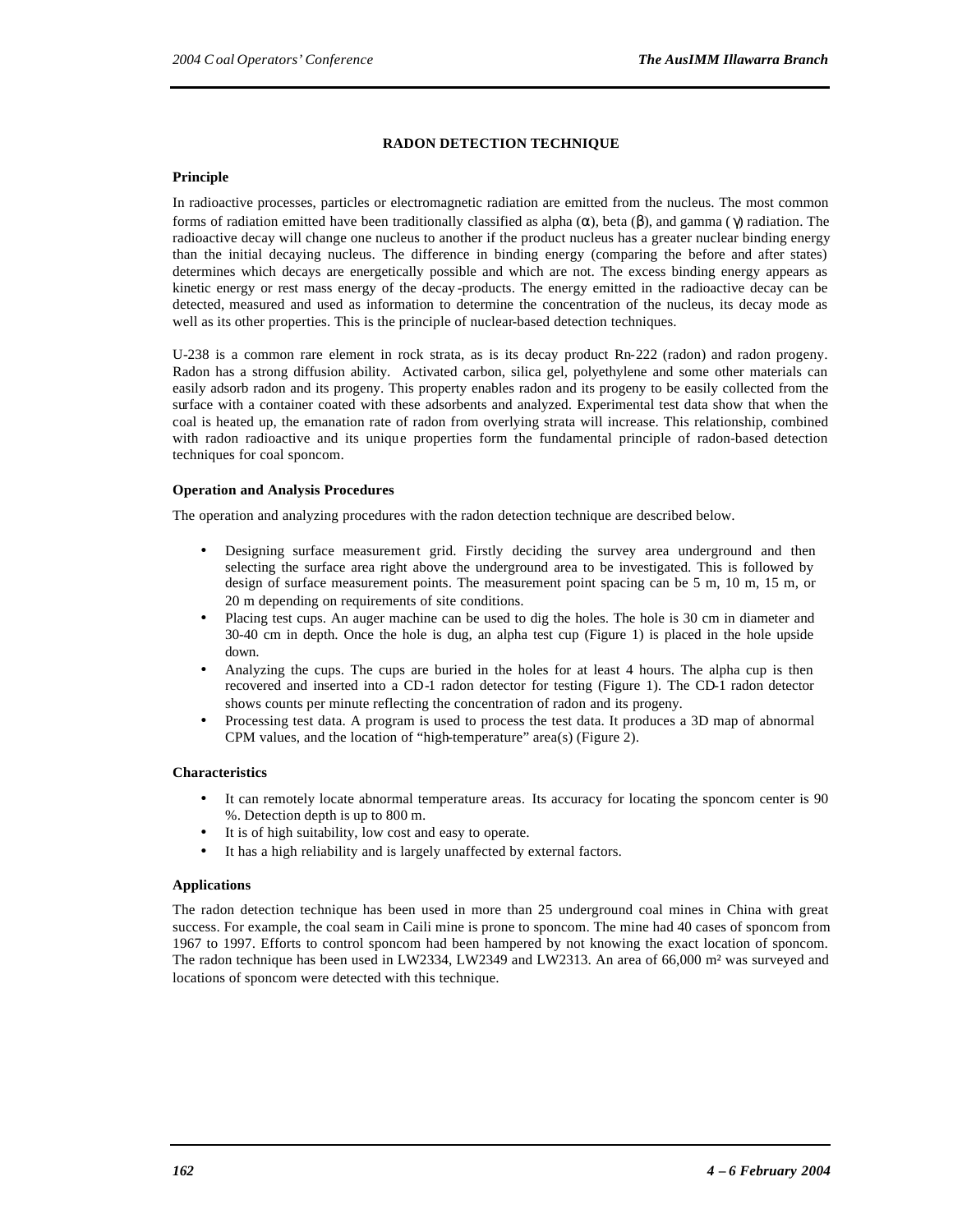#### **RADON DETECTION TECHNIQUE**

#### **Principle**

In radioactive processes, particles or electromagnetic radiation are emitted from the nucleus. The most common forms of radiation emitted have been traditionally classified as alpha (α), beta (β), and gamma ( γ) radiation. The radioactive decay will change one nucleus to another if the product nucleus has a greater nuclear binding energy than the initial decaying nucleus. The difference in binding energy (comparing the before and after states) determines which decays are energetically possible and which are not. The excess binding energy appears as kinetic energy or rest mass energy of the decay -products. The energy emitted in the radioactive decay can be detected, measured and used as information to determine the concentration of the nucleus, its decay mode as well as its other properties. This is the principle of nuclear-based detection techniques.

U-238 is a common rare element in rock strata, as is its decay product Rn-222 (radon) and radon progeny. Radon has a strong diffusion ability. Activated carbon, silica gel, polyethylene and some other materials can easily adsorb radon and its progeny. This property enables radon and its progeny to be easily collected from the surface with a container coated with these adsorbents and analyzed. Experimental test data show that when the coal is heated up, the emanation rate of radon from overlying strata will increase. This relationship, combined with radon radioactive and its unique properties form the fundamental principle of radon-based detection techniques for coal sponcom.

#### **Operation and Analysis Procedures**

The operation and analyzing procedures with the radon detection technique are described below.

- Designing surface measurement grid. Firstly deciding the survey area underground and then selecting the surface area right above the underground area to be investigated. This is followed by design of surface measurement points. The measurement point spacing can be 5 m, 10 m, 15 m, or 20 m depending on requirements of site conditions.
- Placing test cups. An auger machine can be used to dig the holes. The hole is 30 cm in diameter and 30-40 cm in depth. Once the hole is dug, an alpha test cup (Figure 1) is placed in the hole upside down.
- Analyzing the cups. The cups are buried in the holes for at least 4 hours. The alpha cup is then recovered and inserted into a CD-1 radon detector for testing (Figure 1). The CD-1 radon detector shows counts per minute reflecting the concentration of radon and its progeny.
- Processing test data. A program is used to process the test data. It produces a 3D map of abnormal CPM values, and the location of "high-temperature" area(s) (Figure 2).

#### **Characteristics**

- It can remotely locate abnormal temperature areas. Its accuracy for locating the sponcom center is 90 %. Detection depth is up to 800 m.
- It is of high suitability, low cost and easy to operate.
- It has a high reliability and is largely unaffected by external factors.

#### **Applications**

The radon detection technique has been used in more than 25 underground coal mines in China with great success. For example, the coal seam in Caili mine is prone to sponcom. The mine had 40 cases of sponcom from 1967 to 1997. Efforts to control sponcom had been hampered by not knowing the exact location of sponcom. The radon technique has been used in LW2334, LW2349 and LW2313. An area of 66,000 m² was surveyed and locations of sponcom were detected with this technique.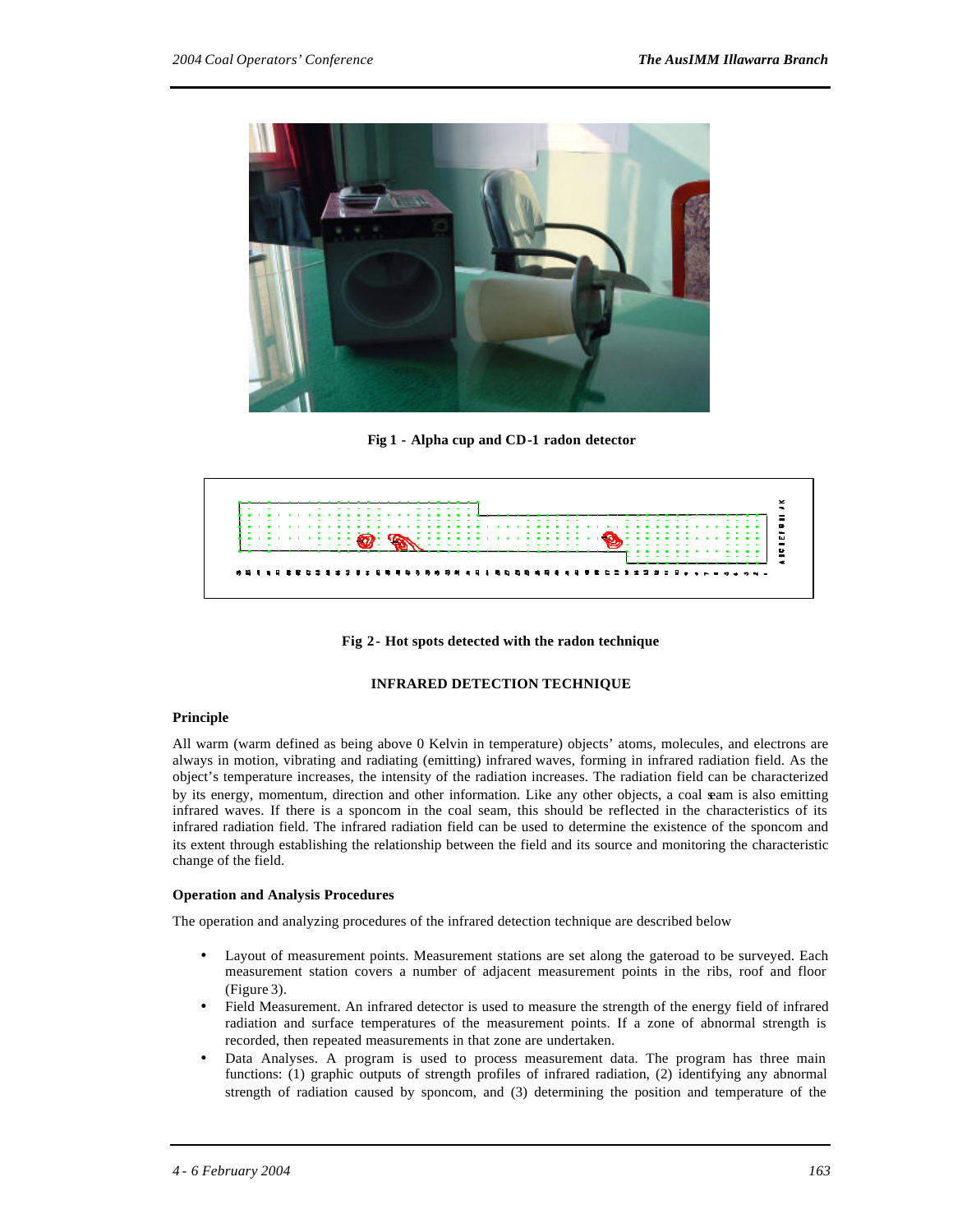

**Fig 1 - Alpha cup and CD-1 radon detector**



**Fig 2- Hot spots detected with the radon technique**

#### **INFRARED DETECTION TECHNIQUE**

#### **Principle**

All warm (warm defined as being above 0 Kelvin in temperature) objects' atoms, molecules, and electrons are always in motion, vibrating and radiating (emitting) infrared waves, forming in infrared radiation field. As the object's temperature increases, the intensity of the radiation increases. The radiation field can be characterized by its energy, momentum, direction and other information. Like any other objects, a coal seam is also emitting infrared waves. If there is a sponcom in the coal seam, this should be reflected in the characteristics of its infrared radiation field. The infrared radiation field can be used to determine the existence of the sponcom and its extent through establishing the relationship between the field and its source and monitoring the characteristic change of the field.

#### **Operation and Analysis Procedures**

The operation and analyzing procedures of the infrared detection technique are described below

- Layout of measurement points. Measurement stations are set along the gateroad to be surveyed. Each measurement station covers a number of adjacent measurement points in the ribs, roof and floor (Figure 3).
- Field Measurement. An infrared detector is used to measure the strength of the energy field of infrared radiation and surface temperatures of the measurement points. If a zone of abnormal strength is recorded, then repeated measurements in that zone are undertaken.
- Data Analyses. A program is used to process measurement data. The program has three main functions: (1) graphic outputs of strength profiles of infrared radiation, (2) identifying any abnormal strength of radiation caused by sponcom, and (3) determining the position and temperature of the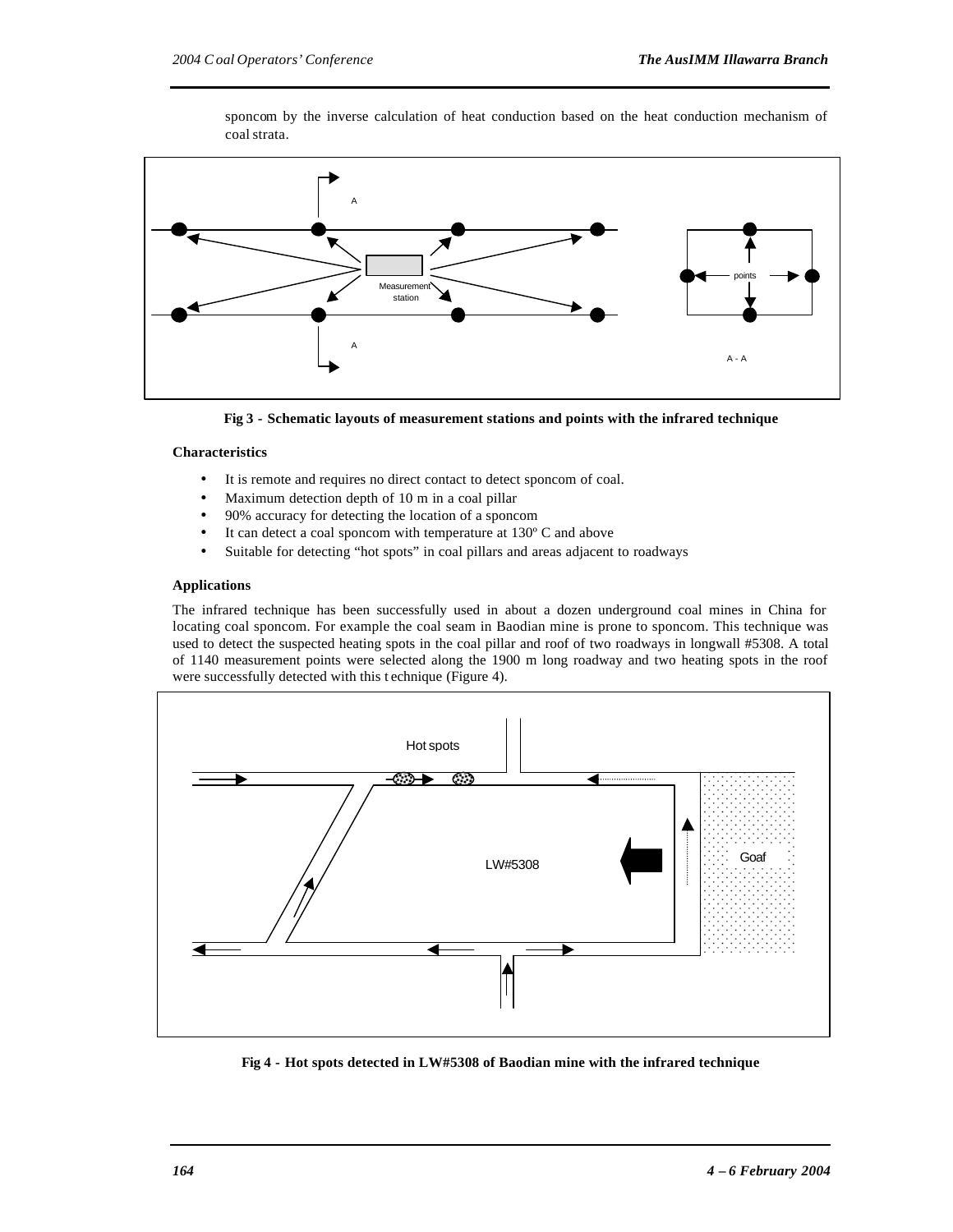coal strata.

Measuren station A A points A - A

sponcom by the inverse calculation of heat conduction based on the heat conduction mechanism of

**Fig 3 - Schematic layouts of measurement stations and points with the infrared technique**

#### **Characteristics**

- It is remote and requires no direct contact to detect sponcom of coal.
- Maximum detection depth of 10 m in a coal pillar
- 90% accuracy for detecting the location of a sponcom
- It can detect a coal sponcom with temperature at  $130^{\circ}$  C and above
- Suitable for detecting "hot spots" in coal pillars and areas adjacent to roadways

#### **Applications**

The infrared technique has been successfully used in about a dozen underground coal mines in China for locating coal sponcom. For example the coal seam in Baodian mine is prone to sponcom. This technique was used to detect the suspected heating spots in the coal pillar and roof of two roadways in longwall #5308. A total of 1140 measurement points were selected along the 1900 m long roadway and two heating spots in the roof were successfully detected with this t echnique (Figure 4).



**Fig 4 - Hot spots detected in LW#5308 of Baodian mine with the infrared technique**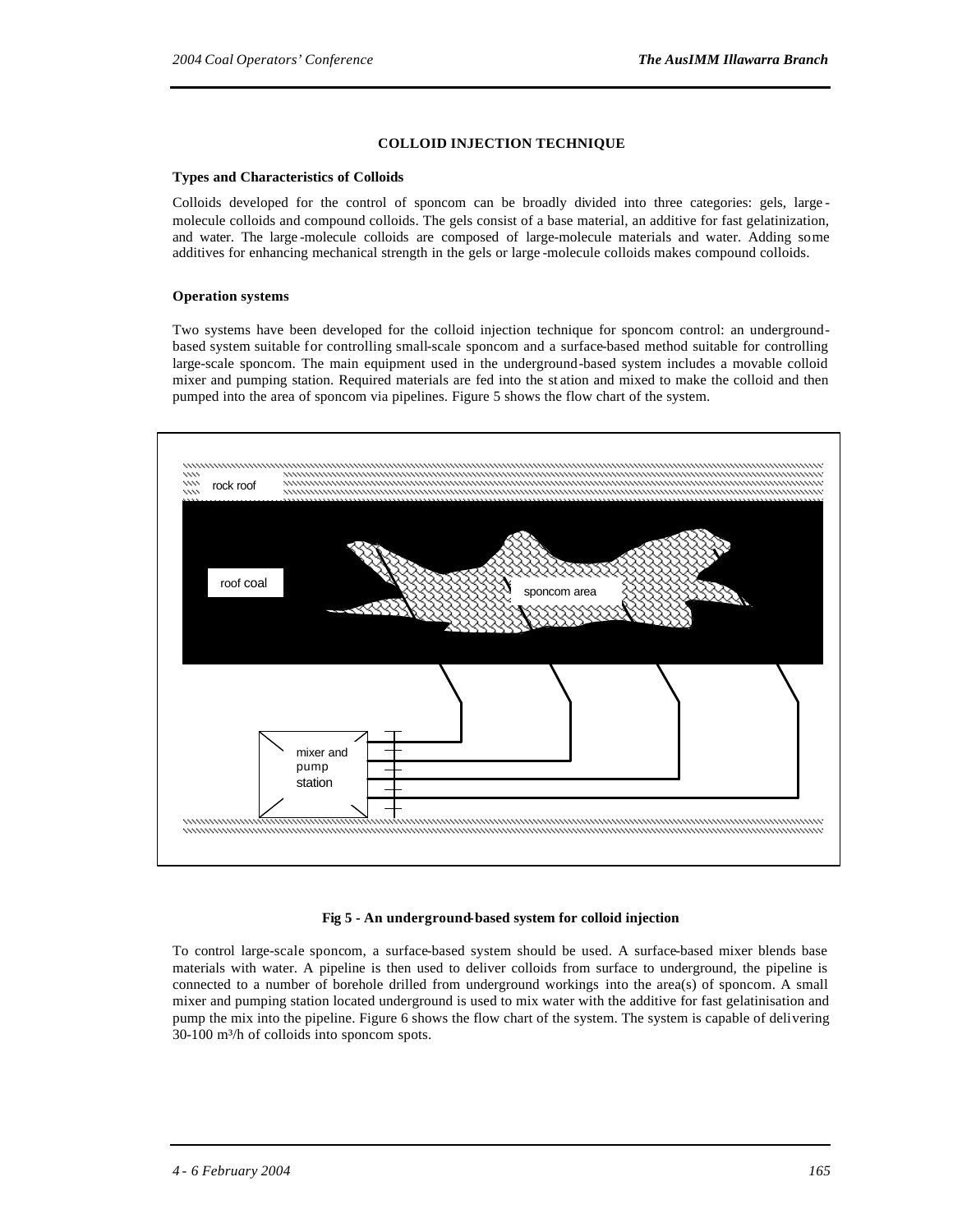#### **COLLOID INJECTION TECHNIQUE**

#### **Types and Characteristics of Colloids**

Colloids developed for the control of sponcom can be broadly divided into three categories: gels, large molecule colloids and compound colloids. The gels consist of a base material, an additive for fast gelatinization, and water. The large -molecule colloids are composed of large-molecule materials and water. Adding some additives for enhancing mechanical strength in the gels or large -molecule colloids makes compound colloids.

#### **Operation systems**

Two systems have been developed for the colloid injection technique for sponcom control: an undergroundbased system suitable for controlling small-scale sponcom and a surface-based method suitable for controlling large-scale sponcom. The main equipment used in the underground-based system includes a movable colloid mixer and pumping station. Required materials are fed into the st ation and mixed to make the colloid and then pumped into the area of sponcom via pipelines. Figure 5 shows the flow chart of the system.



#### **Fig 5 - An underground-based system for colloid injection**

To control large-scale sponcom, a surface-based system should be used. A surface-based mixer blends base materials with water. A pipeline is then used to deliver colloids from surface to underground, the pipeline is connected to a number of borehole drilled from underground workings into the area(s) of sponcom. A small mixer and pumping station located underground is used to mix water with the additive for fast gelatinisation and pump the mix into the pipeline. Figure 6 shows the flow chart of the system. The system is capable of delivering 30-100 m³/h of colloids into sponcom spots.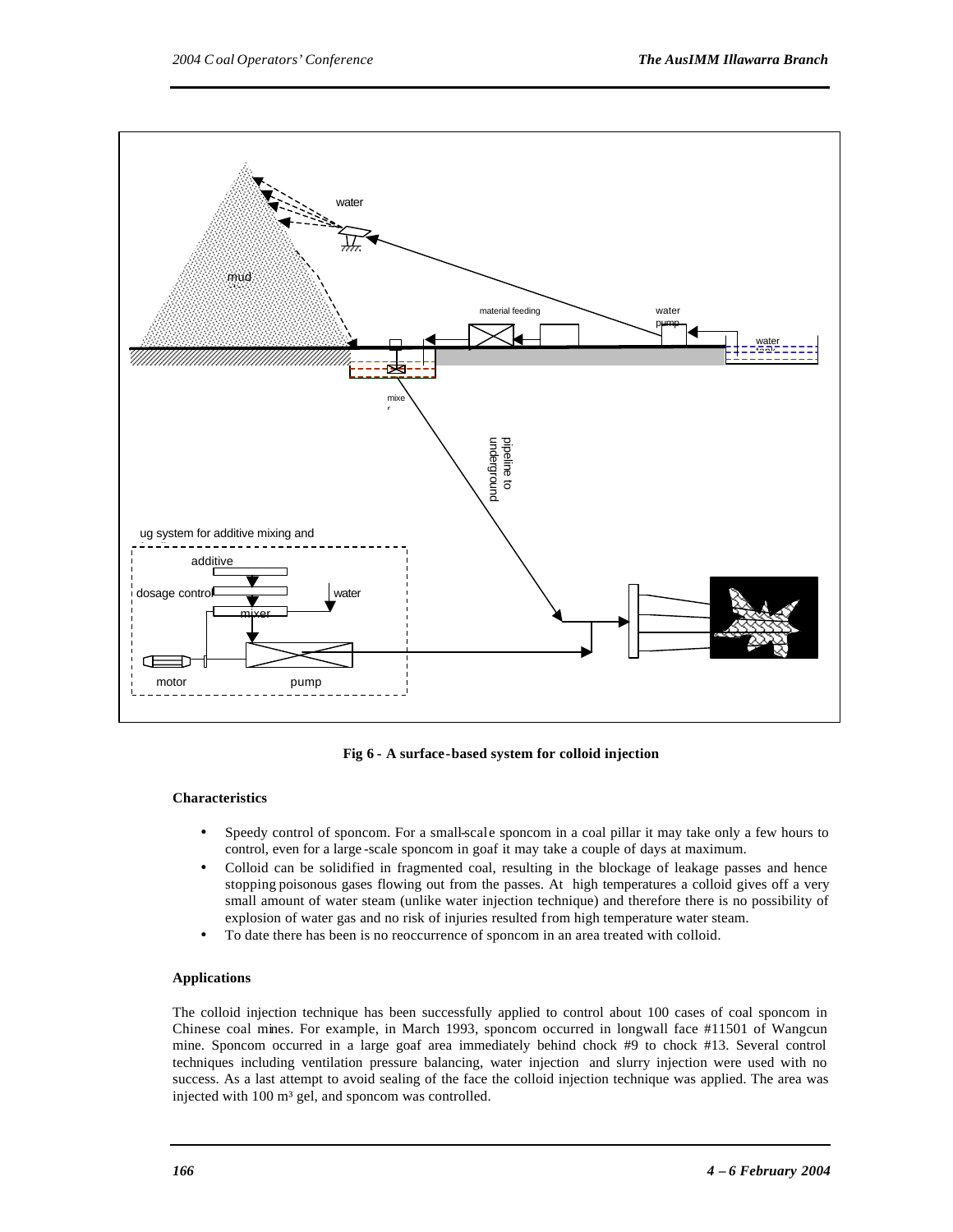

**Fig 6 - A surface-based system for colloid injection**

#### **Characteristics**

- Speedy control of sponcom. For a small-scale sponcom in a coal pillar it may take only a few hours to control, even for a large -scale sponcom in goaf it may take a couple of days at maximum.
- Colloid can be solidified in fragmented coal, resulting in the blockage of leakage passes and hence stopping poisonous gases flowing out from the passes. At high temperatures a colloid gives off a very small amount of water steam (unlike water injection technique) and therefore there is no possibility of explosion of water gas and no risk of injuries resulted from high temperature water steam.
- To date there has been is no reoccurrence of sponcom in an area treated with colloid.

#### **Applications**

The colloid injection technique has been successfully applied to control about 100 cases of coal sponcom in Chinese coal mines. For example, in March 1993, sponcom occurred in longwall face #11501 of Wangcun mine. Sponcom occurred in a large goaf area immediately behind chock #9 to chock #13. Several control techniques including ventilation pressure balancing, water injection and slurry injection were used with no success. As a last attempt to avoid sealing of the face the colloid injection technique was applied. The area was injected with 100 m<sup>3</sup> gel, and sponcom was controlled.